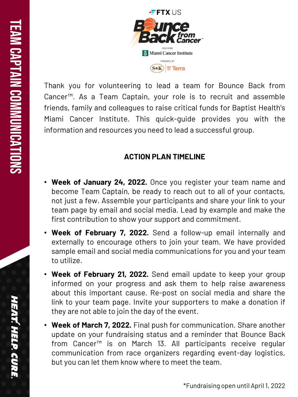

Thank you for volunteering to lead a team for Bounce Back from Cancer<sup>™</sup>. As a Team Captain, your role is to recruit and assemble friends, family and colleagues to raise critical funds for Baptist Health's Miami Cancer Institute . This quick -guide provides you with the information and resources you need to lead a successful group .

## **ACTION PLAN TIMELINE**

- **Week of January 24, 2022.** Once you register your team name and become Team Captain, be ready to reach out to all of your contacts, not just a few . Assemble your participants and share your link to your team page by email and social media . Lead by example and make the first contribution to show your support and commitment .
- **Week of February 7 , 2022 .** Send a follow -up email internally and externally to encourage others to join your team . We have provided sample email and social media communications for you and your team to utilize .
- **Week of February 21, 2022.** Send email update to keep your group informed on your progress and ask them to help raise awareness about this important cause . Re -post on social media and share the link to your team page. Invite your supporters to make a donation if they are not able to join the day of the event .
- **Week of March 7 , 2022 .** Final push for communication . Share another update on your fundraising status and a reminder that Bounce Back from Cancer™ is on March 13 . All participants receive regular communication from race organizers regarding event -day logistics, but you can let them know where to meet the team .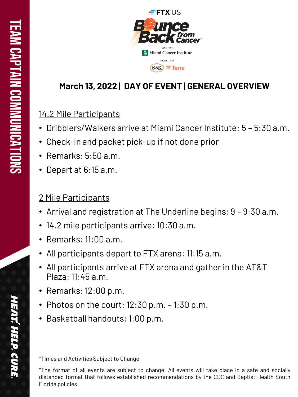

# **March 13, 2022 | DAY OF EVENT | GENERAL OVERVIEW**

# 14.2 Mile Participants

- Dribblers/Walkers arrive at Miami Cancer Institute: 5 5:30 a.m.
- Check-in and packet pick-up if not done prior
- Remarks: 5:50 a.m.
- Depart at 6:15 a.m.

# 2 Mile Participants

- Arrival and registration at The Underline begins: 9 9:30 a.m.
- 14.2 mile participants arrive: 10:30 a.m.
- Remarks: 11:00 a.m.
- All participants depart to FTX arena: 11:15 a.m.
- All participants arrive at FTX arena and gather in the AT&T Plaza: 11:45 a.m.
- Remarks: 12:00 p.m.
- Photos on the court: 12:30 p.m. 1:30 p.m.
- Basketball handouts: 1:00 p.m.

\*Times and Activities Subject to Change<br>\*The format of all events are subject to change. All events will take place in a safe and socially distanced format that follows established recommendations by the CDC and Baptist Health South Florida policies .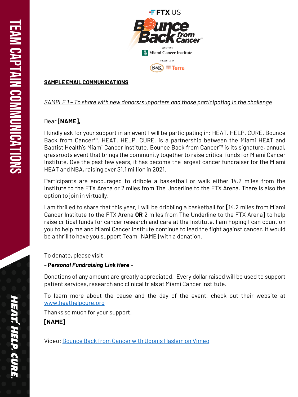

#### **SAMPLE EMAIL COMMUNICATIONS**

### *SAMPLE 1 – To share with new donors/supporters and those participating in the challenge*

### Dear **[NAME],**

I kindly ask for your support in an event I will be participating in : HEAT . HELP . CURE . Bounce Back from Cancer™. HEAT. HELP. CURE. is a partnership between the Miami HEAT and Baptist Health's Miami Cancer Institute. Bounce Back from Cancer™ is its signature, annual, grassroots event that brings the community together to raise critical funds for Miami Cancer Institute . Ove the past few years, it has become the largest cancer fundraiser for the Miami HEAT and NBA, raising over \$1.1 million in 2021.

Participants are encouraged to dribble a basketball or walk either 14.2 miles from the Institute to the FTX Arena or 2 miles from The Underline to the FTX Arena. There is also the option to join in virtually .

I am thrilled to share that this year, I will be dribbling a basketball for **[**14 . 2 miles from Miami Cancer Institute to the FTX Arena **OR** 2 miles from The Underline to the FTX Arena **]** to help raise critical funds for cancer research and care at the Institute . I am hoping I can count on you to help me and Miami Cancer Institute continue to lead the fight against cancer . It would be a thrillto have you support Team [NAME] with a donation .

To donate, please visit :

### *- Personal Fundraising Link Here -*

Donations of any amount are greatly appreciated . Every dollar raised will be used to support patient services, research and clinical trials at Miami Cancer Institute.

To learn more about the cause and the day of the event, check out their website at www [.heathelpcure](http://www.heathelpcure.org/) .org

Thanks so much for your support .

**[NAME]**

Video : [Bounce](https://vimeo.com/667348213) Back from Cancer with Udonis Haslem on Vimeo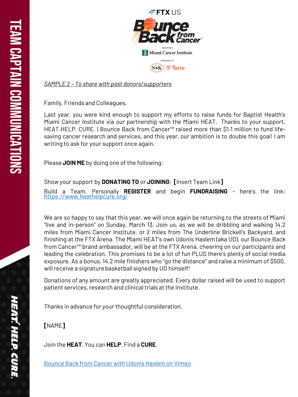

*SAMPLE 2 – To share with past donors/supporters*

Family, Friends and Colleagues,

Last year, you were kind enough to support my efforts to raise funds for Baptist Health's Miami Cancer Institute via our partnership with the Miami HEAT . Thanks to your support, HEAT.HELP. CURE. | Bounce Back from Cancer™ raised more than \$1.1 million to fund lifesaving cancer research and services, and this year, our ambition is to double this goal! I am writing to ask for your support once again .

Please **JOIN ME** by doing one of the following :

Show your support by **DONATING TO** or **JOINING** : **[**Insert Team Link **]**

Build a Team. Personally REGISTER and begin **FUNDRAISING** - here's the link: https ://www [.heathelpcure](https://www.heathelpcure.org/) .org/

We are so happy to say that this year, we will once again be returning to the streets of Miami "live and in -person" on Sunday, March 13 . Join us, as we will be dribbling and walking 14 . 2 miles from Miami Cancer Institute, or 2 miles from The Underline Brickell's Backyard, and finishing at the FTX Arena. The Miami HEAT's own Udonis Haslem (aka UD), our Bounce Back from Cancer™ brand ambassador, will be at the FTX Arena, cheering on our participants and leading the celebration. This promises to be a lot of fun PLUS there's plenty of social media exposure. As a bonus, 14.2 mile finishers who "go the distance" and raise a minimum of \$500, willreceive a signaturebasketball signed by UD himself!

Donations of any amount are greatly appreciated . Every dollar raised will be used to support patient services, research and clinical trials at the Institute.

Thanks in advance for your thoughtful consideration .

**[**NAME **]**

Join the **HEAT** . You can **HELP** . Find a **CURE** .

[Bounce](https://vimeo.com/667348213) Back from Cancer with Udonis Haslem on Vimeo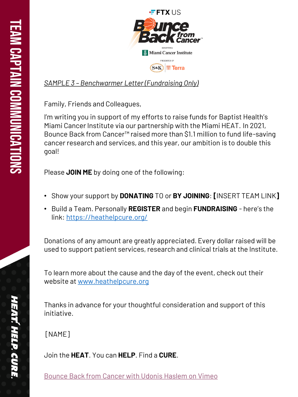

*SAMPLE 3 – Benchwarmer Letter (Fundraising Only)*

Family, Friends and Colleagues,

I'm writing you in support of my efforts to raise funds for Baptist Health's Miami Cancer Institute via our partnership with the Miami HEAT. In 2021, Bounce Back from Cancer™ raised more than \$1.1 million to fund life -saving cancer research and services, and this year, our ambition is to double this goal!

Please **JOIN ME** by doing one of the following:

- Show your support by **DONATING** TO or **BY JOINING**: **[**INSERT TEAM LINK **]**
- Build a Team. Personally **REGISTER** and begin **FUNDRAISING** here's the link: <https://heathelpcure.org/>

Donations of any amount are greatly appreciated. Every dollar raised will be used to support patient services, research and clinical trials at the Institute.

To learn more about the cause and the day of the event, check out their website at [www.heathelpcure.org](http://www.heathelpcure.org/)

Thanks in advance for your thoughtful consideration and support of this initiative.<br>[NAME]

Join the **HEAT** . You can **HELP** . Find a **CURE** .

[Bounce](https://vimeo.com/667348213) Back from Cancer with Udonis Haslem on Vimeo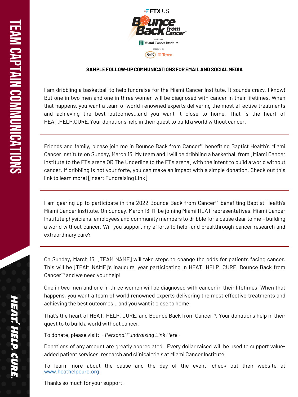

#### **SAMPLE FOLLOW -UP COMMUNICATIONS FOR EMAIL AND SOCIAL MEDIA**

I am dribbling a basketball to help fundraise for the Miami Cancer Institute. It sounds crazy, I know! But one in two men and one in three women will be diagnosed with cancer in their lifetimes . When that happens, you want a team of world-renowned experts delivering the most effective treatments and achieving the best outcomes...and you want it close to home. That is the heart of HEAT.HELP.CURE. Your donations help in their quest to build a world without cancer.

Friends and family, please join me in Bounce Back from Cancer™ benefiting Baptist Health's Miami Cancer Institute on Sunday, March 13 . My team and I will be dribbling a basketball from [Miami Cancer Institute to the FTX arena OR The Underline to the FTX arena] with the intent to build a world without cancer . If dribbling is not your forte, you can make an impact with a simple donation . Check out this link to learn more![Insert FundraisingLink ]

I am gearing up to participate in the 2022 Bounce Back from Cancer™ benefiting Baptist Health's Miami Cancer Institute . On Sunday, March 13 , I'll be joining Miami HEAT representatives, Miami Cancer Institute physicians, employees and community members to dribble for a cause dear to me – building a world without cancer . Will you support my efforts to help fund breakthrough cancer research and extraordinary care ?

On Sunday, March 13 , [TEAM NAME] will take steps to change the odds for patients facing cancer . This will be [TEAM NAME]'s inaugural year participating in HEAT . HELP . CURE . Bounce Back from Cancer™ and we need your help!

One in two men and one in three women will be diagnosed with cancer in their lifetimes . When that happens, you want a team of world renowned experts delivering the most effective treatments and achieving the best outcomes …and you want it close to home .

That's the heart of HEAT. HELP. CURE. and Bounce Back from Cancer™. Your donations help in their quest to to build a world without cancer .

To donate, please visit : *- Personal Fundraising Link Here -*

Donations of any amount are greatly appreciated . Every dollar raised will be used to support value added patient services, research and clinical trials at Miami Cancer Institute.

To learn more about the cause and the day of the event, check out their website at www [.heathelpcure](http://www.heathelpcure.org/) .org

Thanks so much for your support .